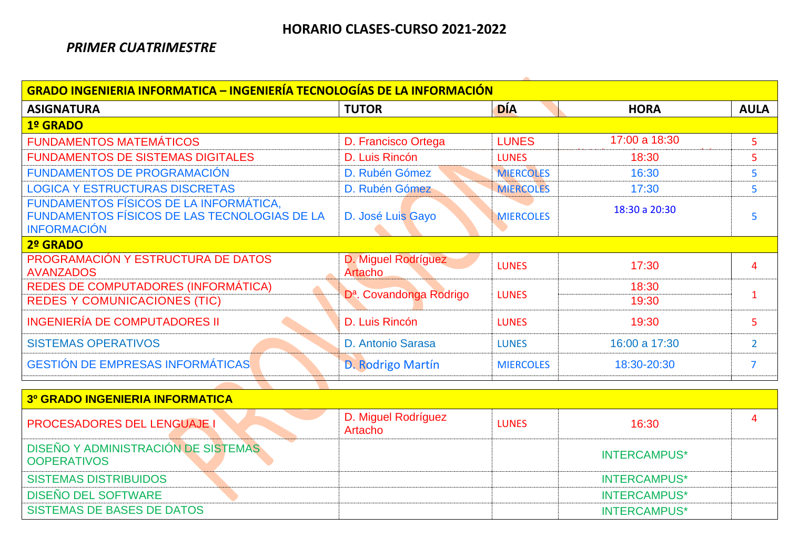## **HORARIO CLASES-CURSO 2021-2022**

#### *PRIMER CUATRIMESTRE*

| <b>GRADO INGENIERIA INFORMATICA – INGENIERÍA TECNOLOGÍAS DE LA INFORMACIÓN</b>                               |                                       |                  |                     |                |  |
|--------------------------------------------------------------------------------------------------------------|---------------------------------------|------------------|---------------------|----------------|--|
| <b>ASIGNATURA</b>                                                                                            | <b>TUTOR</b>                          | <b>DÍA</b>       | <b>HORA</b>         | <b>AULA</b>    |  |
| 1º GRADO                                                                                                     |                                       |                  |                     |                |  |
| <b>FUNDAMENTOS MATEMÁTICOS</b>                                                                               | D. Francisco Ortega                   | <b>LUNES</b>     | 17:00 a 18:30       | 5              |  |
| <b>FUNDAMENTOS DE SISTEMAS DIGITALES</b>                                                                     | D. Luis Rincón                        | <b>LUNES</b>     | 18:30               | 5              |  |
| <b>FUNDAMENTOS DE PROGRAMACIÓN</b>                                                                           | D. Rubén Gómez                        | <b>MIERCOLES</b> | 16:30               | 5              |  |
| <b>LOGICA Y ESTRUCTURAS DISCRETAS</b>                                                                        | D. Rubén Gómez                        | <b>MIERCOLES</b> | 17:30               | 5              |  |
| FUNDAMENTOS FÍSICOS DE LA INFORMÁTICA,<br>FUNDAMENTOS FÍSICOS DE LAS TECNOLOGIAS DE LA<br><b>INFORMACIÓN</b> | D. José Luis Gayo                     | <b>MIERCOLES</b> | 18:30 a 20:30       | 5              |  |
| 2º GRADO                                                                                                     |                                       |                  |                     |                |  |
| PROGRAMACIÓN Y ESTRUCTURA DE DATOS<br><b>AVANZADOS</b>                                                       | D. Miguel Rodríguez<br><b>Artacho</b> | <b>LUNES</b>     | 17:30               | $\overline{4}$ |  |
| REDES DE COMPUTADORES (INFORMÁTICA)<br><b>REDES Y COMUNICACIONES (TIC)</b>                                   | D <sup>a</sup> . Covandonga Rodrigo   | <b>LUNES</b>     | 18:30<br>19:30      | $\mathbf{1}$   |  |
| <b>INGENIERÍA DE COMPUTADORES II</b>                                                                         | D. Luis Rincón                        | <b>LUNES</b>     | 19:30               | 5              |  |
| <b>SISTEMAS OPERATIVOS</b>                                                                                   | D. Antonio Sarasa                     | <b>LUNES</b>     | 16:00 a 17:30       | $\overline{2}$ |  |
| <b>GESTIÓN DE EMPRESAS INFORMÁTICAS</b>                                                                      | D. Rodrigo Martín                     | <b>MIERCOLES</b> | 18:30-20:30         | $\overline{7}$ |  |
| <b>3º GRADO INGENIERIA INFORMATICA</b>                                                                       |                                       |                  |                     |                |  |
| <b>PROCESADORES DEL LENGUAJE I</b>                                                                           | D. Miguel Rodríguez<br><b>Artacho</b> | <b>LUNES</b>     | 16:30               | $\overline{4}$ |  |
| DISEÑO Y ADMINISTRACIÓN DE SISTEMAS<br><b>OOPERATIVOS</b>                                                    |                                       |                  | <b>INTERCAMPUS*</b> |                |  |
| <b>SISTEMAS DISTRIBUIDOS</b>                                                                                 |                                       |                  | <b>INTERCAMPUS*</b> |                |  |
| <b>DISEÑO DEL SOFTWARE</b>                                                                                   |                                       |                  | <b>INTERCAMPUS*</b> |                |  |
| <b>SISTEMAS DE BASES DE DATOS</b>                                                                            |                                       |                  | <b>INTERCAMPUS*</b> |                |  |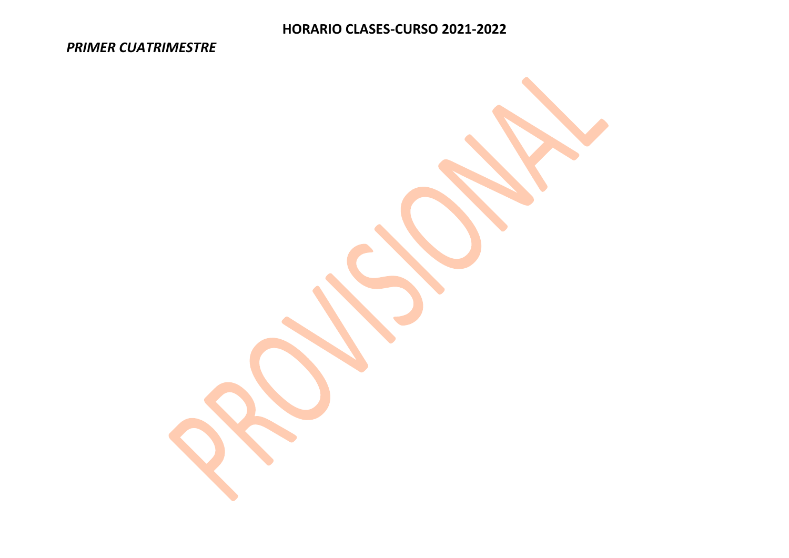# **HORARIO CLASES-CURSO 2021-2022**

#### *PRIMER CUATRIMESTRE*